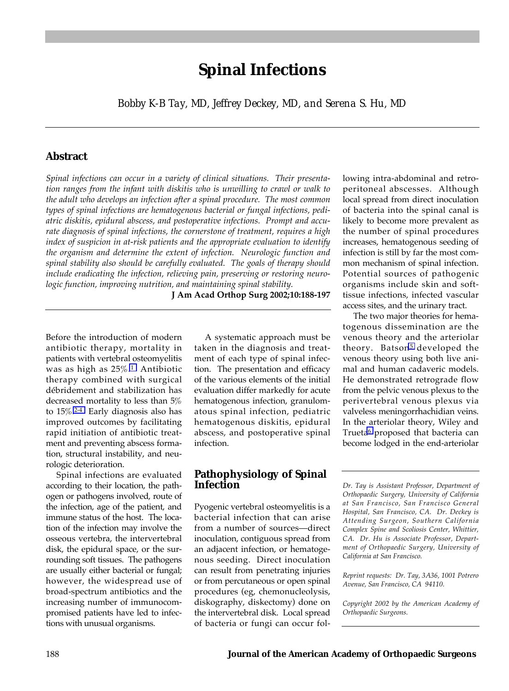# **Spinal Infections**

*Bobby K-B Tay, MD, Jeffrey Deckey, MD, and Serena S. Hu, MD*

# **Abstract**

*Spinal infections can occur in a variety of clinical situations. Their presentation ranges from the infant with diskitis who is unwilling to crawl or walk to the adult who develops an infection after a spinal procedure. The most common types of spinal infections are hematogenous bacterial or fungal infections, pediatric diskitis, epidural abscess, and postoperative infections. Prompt and accurate diagnosis of spinal infections, the cornerstone of treatment, requires a high index of suspicion in at-risk patients and the appropriate evaluation to identify the organism and determine the extent of infection. Neurologic function and spinal stability also should be carefully evaluated. The goals of therapy should include eradicating the infection, relieving pain, preserving or restoring neurologic function, improving nutrition, and maintaining spinal stability.*

**J Am Acad Orthop Surg 2002;10:188-197**

Before the introduction of modern antibiotic therapy, mortality in patients with vertebral osteomyelitis was as high as 25%[.1](#page-8-0) Antibiotic therapy combined with surgical débridement and stabilization has decreased mortality to less than 5% to 15%[.2-4](#page-8-0) Early diagnosis also has improved outcomes by facilitating rapid initiation of antibiotic treatment and preventing abscess formation, structural instability, and neurologic deterioration.

Spinal infections are evaluated according to their location, the pathogen or pathogens involved, route of the infection, age of the patient, and immune status of the host. The location of the infection may involve the osseous vertebra, the intervertebral disk, the epidural space, or the surrounding soft tissues. The pathogens are usually either bacterial or fungal; however, the widespread use of broad-spectrum antibiotics and the increasing number of immunocompromised patients have led to infections with unusual organisms.

A systematic approach must be taken in the diagnosis and treatment of each type of spinal infection. The presentation and efficacy of the various elements of the initial evaluation differ markedly for acute hematogenous infection, granulomatous spinal infection, pediatric hematogenous diskitis, epidural abscess, and postoperative spinal infection.

# **Pathophysiology of Spinal Infection**

Pyogenic vertebral osteomyelitis is a bacterial infection that can arise from a number of sources-direct inoculation, contiguous spread from an adjacent infection, or hematogenous seeding. Direct inoculation can result from penetrating injuries or from percutaneous or open spinal procedures (eg, chemonucleolysis, diskography, diskectomy) done on the intervertebral disk. Local spread of bacteria or fungi can occur following intra-abdominal and retroperitoneal abscesses. Although local spread from direct inoculation of bacteria into the spinal canal is likely to become more prevalent as the number of spinal procedures increases, hematogenous seeding of infection is still by far the most common mechanism of spinal infection. Potential sources of pathogenic organisms include skin and softtissue infections, infected vascular access sites, and the urinary tract.

The two major theories for hematogenous dissemination are the venous theory and the arteriolar theory. Batson<sup>5</sup> developed the venous theory using both live animal and human cadaveric models. He demonstrated retrograde flow from the pelvic venous plexus to the perivertebral venous plexus via valveless meningorrhachidian veins. In the arteriolar theory, Wiley and Trueta<sup>6</sup> proposed that bacteria can become lodged in the end-arteriolar

*Dr. Tay is Assistant Professor, Department of Orthopaedic Surgery, University of California at San Francisco, San Francisco General Hospital, San Francisco, CA. Dr. Deckey is Attending Surgeon, Southern California Complex Spine and Scoliosis Center, Whittier, CA. Dr. Hu is Associate Professor, Department of Orthopaedic Surgery, University of California at San Francisco.*

*Reprint requests: Dr. Tay, 3A36, 1001 Potrero Avenue, San Francisco, CA 94110.*

*Copyright 2002 by the American Academy of Orthopaedic Surgeons.*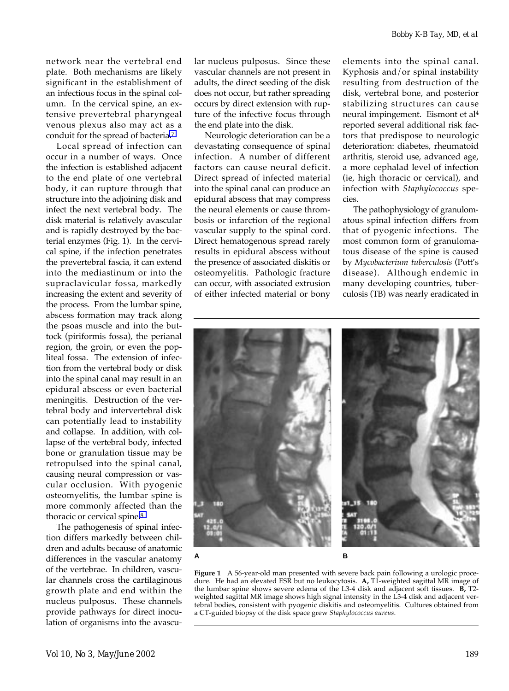network near the vertebral end plate. Both mechanisms are likely significant in the establishment of an infectious focus in the spinal column. In the cervical spine, an extensive prevertebral pharyngeal venous plexus also may act as a conduit for the spread of bacteria[.7](#page-8-0)

Local spread of infection can occur in a number of ways. Once the infection is established adjacent to the end plate of one vertebral body, it can rupture through that structure into the adjoining disk and infect the next vertebral body. The disk material is relatively avascular and is rapidly destroyed by the bacterial enzymes (Fig. 1). In the cervical spine, if the infection penetrates the prevertebral fascia, it can extend into the mediastinum or into the supraclavicular fossa, markedly increasing the extent and severity of the process. From the lumbar spine, abscess formation may track along the psoas muscle and into the buttock (piriformis fossa), the perianal region, the groin, or even the popliteal fossa. The extension of infection from the vertebral body or disk into the spinal canal may result in an epidural abscess or even bacterial meningitis. Destruction of the vertebral body and intervertebral disk can potentially lead to instability and collapse. In addition, with collapse of the vertebral body, infected bone or granulation tissue may be retropulsed into the spinal canal, causing neural compression or vascular occlusion. With pyogenic osteomyelitis, the lumbar spine is more commonly affected than the thoracic or cervical spine.<sup>8</sup>

The pathogenesis of spinal infection differs markedly between children and adults because of anatomic differences in the vascular anatomy of the vertebrae. In children, vascular channels cross the cartilaginous growth plate and end within the nucleus pulposus. These channels provide pathways for direct inoculation of organisms into the avascular nucleus pulposus. Since these vascular channels are not present in adults, the direct seeding of the disk does not occur, but rather spreading occurs by direct extension with rupture of the infective focus through the end plate into the disk.

Neurologic deterioration can be a devastating consequence of spinal infection. A number of different factors can cause neural deficit. Direct spread of infected material into the spinal canal can produce an epidural abscess that may compress the neural elements or cause thrombosis or infarction of the regional vascular supply to the spinal cord. Direct hematogenous spread rarely results in epidural abscess without the presence of associated diskitis or osteomyelitis. Pathologic fracture can occur, with associated extrusion of either infected material or bony

elements into the spinal canal. Kyphosis and/or spinal instability resulting from destruction of the disk, vertebral bone, and posterior stabilizing structures can cause neural impingement. Eismont et al4 reported several additional risk factors that predispose to neurologic deterioration: diabetes, rheumatoid arthritis, steroid use, advanced age, a more cephalad level of infection (ie, high thoracic or cervical), and infection with *Staphylococcus* species.

The pathophysiology of granulomatous spinal infection differs from that of pyogenic infections. The most common form of granulomatous disease of the spine is caused by *Mycobacterium tuberculosis* (Pottís disease). Although endemic in many developing countries, tuberculosis (TB) was nearly eradicated in



**Figure 1** A 56-year-old man presented with severe back pain following a urologic procedure. He had an elevated ESR but no leukocytosis. **A,** T1-weighted sagittal MR image of the lumbar spine shows severe edema of the L3-4 disk and adjacent soft tissues. **B,** T2 weighted sagittal MR image shows high signal intensity in the L3-4 disk and adjacent vertebral bodies, consistent with pyogenic diskitis and osteomyelitis. Cultures obtained from a CT-guided biopsy of the disk space grew *Staphylococcus aureus*.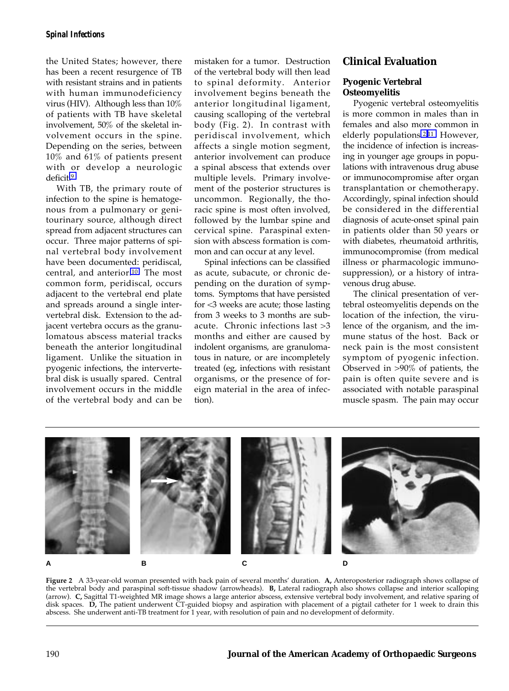the United States; however, there has been a recent resurgence of TB with resistant strains and in patients with human immunodeficiency virus (HIV). Although less than 10% of patients with TB have skeletal involvement, 50% of the skeletal involvement occurs in the spine. Depending on the series, between 10% and 61% of patients present with or develop a neurologic deficit[.9](#page-9-0)

With TB, the primary route of infection to the spine is hematogenous from a pulmonary or genitourinary source, although direct spread from adjacent structures can occur. Three major patterns of spinal vertebral body involvement have been documented: peridiscal, central, and anterior[.10](#page-9-0) The most common form, peridiscal, occurs adjacent to the vertebral end plate and spreads around a single intervertebral disk. Extension to the adjacent vertebra occurs as the granulomatous abscess material tracks beneath the anterior longitudinal ligament. Unlike the situation in pyogenic infections, the intervertebral disk is usually spared. Central involvement occurs in the middle of the vertebral body and can be mistaken for a tumor. Destruction of the vertebral body will then lead to spinal deformity. Anterior involvement begins beneath the anterior longitudinal ligament, causing scalloping of the vertebral body (Fig. 2). In contrast with peridiscal involvement, which affects a single motion segment, anterior involvement can produce a spinal abscess that extends over multiple levels. Primary involvement of the posterior structures is uncommon. Regionally, the thoracic spine is most often involved, followed by the lumbar spine and cervical spine. Paraspinal extension with abscess formation is common and can occur at any level.

Spinal infections can be classified as acute, subacute, or chronic depending on the duration of symptoms. Symptoms that have persisted for <3 weeks are acute; those lasting from 3 weeks to 3 months are subacute. Chronic infections last >3 months and either are caused by indolent organisms, are granulomatous in nature, or are incompletely treated (eg, infections with resistant organisms, or the presence of foreign material in the area of infection).

# **Clinical Evaluation**

### **Pyogenic Vertebral Osteomyelitis**

Pyogenic vertebral osteomyelitis is more common in males than in females and also more common in elderly populations[.2,](#page-8-0)[11](#page-9-0) However, the incidence of infection is increasing in younger age groups in populations with intravenous drug abuse or immunocompromise after organ transplantation or chemotherapy. Accordingly, spinal infection should be considered in the differential diagnosis of acute-onset spinal pain in patients older than 50 years or with diabetes, rheumatoid arthritis, immunocompromise (from medical illness or pharmacologic immunosuppression), or a history of intravenous drug abuse.

The clinical presentation of vertebral osteomyelitis depends on the location of the infection, the virulence of the organism, and the immune status of the host. Back or neck pain is the most consistent symptom of pyogenic infection. Observed in >90% of patients, the pain is often quite severe and is associated with notable paraspinal muscle spasm. The pain may occur



Figure 2 A 33-year-old woman presented with back pain of several months' duration. A, Anteroposterior radiograph shows collapse of the vertebral body and paraspinal soft-tissue shadow (arrowheads). **B,** Lateral radiograph also shows collapse and interior scalloping (arrow). **C,** Sagittal T1-weighted MR image shows a large anterior abscess, extensive vertebral body involvement, and relative sparing of disk spaces. **D,** The patient underwent CT-guided biopsy and aspiration with placement of a pigtail catheter for 1 week to drain this abscess. She underwent anti-TB treatment for 1 year, with resolution of pain and no development of deformity.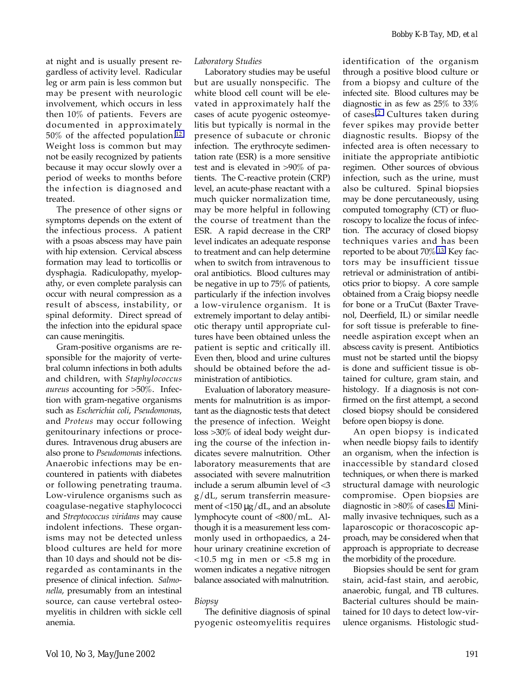at night and is usually present regardless of activity level. Radicular leg or arm pain is less common but may be present with neurologic involvement, which occurs in less then 10% of patients. Fevers are documented in approximately 50% of the affected population[.12](#page-9-0) Weight loss is common but may not be easily recognized by patients because it may occur slowly over a period of weeks to months before the infection is diagnosed and treated.

The presence of other signs or symptoms depends on the extent of the infectious process. A patient with a psoas abscess may have pain with hip extension. Cervical abscess formation may lead to torticollis or dysphagia. Radiculopathy, myelopathy, or even complete paralysis can occur with neural compression as a result of abscess, instability, or spinal deformity. Direct spread of the infection into the epidural space can cause meningitis.

Gram-positive organisms are responsible for the majority of vertebral column infections in both adults and children, with *Staphylococcus aureus* accounting for >50%. Infection with gram-negative organisms such as *Escherichia coli*, *Pseudomonas*, and *Proteus* may occur following genitourinary infections or procedures. Intravenous drug abusers are also prone to *Pseudomonas* infections. Anaerobic infections may be encountered in patients with diabetes or following penetrating trauma. Low-virulence organisms such as coagulase-negative staphylococci and *Streptococcus viridans* may cause indolent infections. These organisms may not be detected unless blood cultures are held for more than 10 days and should not be disregarded as contaminants in the presence of clinical infection. *Salmonella*, presumably from an intestinal source, can cause vertebral osteomyelitis in children with sickle cell anemia.

#### *Laboratory Studies*

Laboratory studies may be useful but are usually nonspecific. The white blood cell count will be elevated in approximately half the cases of acute pyogenic osteomyelitis but typically is normal in the presence of subacute or chronic infection. The erythrocyte sedimentation rate (ESR) is a more sensitive test and is elevated in >90% of patients. The C-reactive protein (CRP) level, an acute-phase reactant with a much quicker normalization time, may be more helpful in following the course of treatment than the ESR. A rapid decrease in the CRP level indicates an adequate response to treatment and can help determine when to switch from intravenous to oral antibiotics. Blood cultures may be negative in up to 75% of patients, particularly if the infection involves a low-virulence organism. It is extremely important to delay antibiotic therapy until appropriate cultures have been obtained unless the patient is septic and critically ill. Even then, blood and urine cultures should be obtained before the administration of antibiotics.

Evaluation of laboratory measurements for malnutrition is as important as the diagnostic tests that detect the presence of infection. Weight loss >30% of ideal body weight during the course of the infection indicates severe malnutrition. Other laboratory measurements that are associated with severe malnutrition include a serum albumin level of <3 g/dL, serum transferrin measurement of  $\langle$ 150 µg/dL, and an absolute lymphocyte count of <800/mL. Although it is a measurement less commonly used in orthopaedics, a 24 hour urinary creatinine excretion of  $<$ 10.5 mg in men or  $<$ 5.8 mg in women indicates a negative nitrogen balance associated with malnutrition.

#### *Biopsy*

The definitive diagnosis of spinal pyogenic osteomyelitis requires identification of the organism through a positive blood culture or from a biopsy and culture of the infected site. Blood cultures may be diagnostic in as few as 25% to 33% of cases[.2](#page-8-0) Cultures taken during fever spikes may provide better diagnostic results. Biopsy of the infected area is often necessary to initiate the appropriate antibiotic regimen. Other sources of obvious infection, such as the urine, must also be cultured. Spinal biopsies may be done percutaneously, using computed tomography (CT) or fluoroscopy to localize the focus of infection. The accuracy of closed biopsy techniques varies and has been reported to be about 70%[.13](#page-9-0) Key factors may be insufficient tissue retrieval or administration of antibiotics prior to biopsy. A core sample obtained from a Craig biopsy needle for bone or a TruCut (Baxter Travenol, Deerfield, IL) or similar needle for soft tissue is preferable to fineneedle aspiration except when an abscess cavity is present. Antibiotics must not be started until the biopsy is done and sufficient tissue is obtained for culture, gram stain, and histology. If a diagnosis is not confirmed on the first attempt, a second closed biopsy should be considered before open biopsy is done.

An open biopsy is indicated when needle biopsy fails to identify an organism, when the infection is inaccessible by standard closed techniques, or when there is marked structural damage with neurologic compromise. Open biopsies are diagnostic in >80% of cases.[14](#page-9-0) Minimally invasive techniques, such as a laparoscopic or thoracoscopic approach, may be considered when that approach is appropriate to decrease the morbidity of the procedure.

Biopsies should be sent for gram stain, acid-fast stain, and aerobic, anaerobic, fungal, and TB cultures. Bacterial cultures should be maintained for 10 days to detect low-virulence organisms. Histologic stud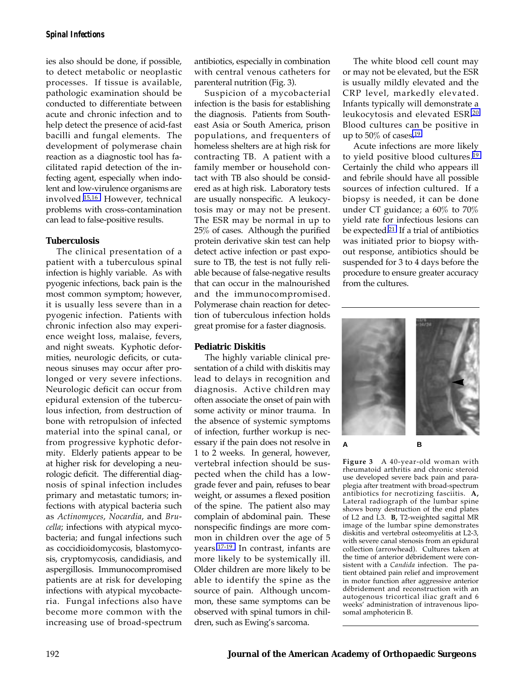ies also should be done, if possible, to detect metabolic or neoplastic processes. If tissue is available, pathologic examination should be conducted to differentiate between acute and chronic infection and to help detect the presence of acid-fast bacilli and fungal elements. The development of polymerase chain reaction as a diagnostic tool has facilitated rapid detection of the infecting agent, especially when indolent and low-virulence organisms are involved[.15,16](#page-9-0) However, technical problems with cross-contamination can lead to false-positive results.

#### **Tuberculosis**

The clinical presentation of a patient with a tuberculous spinal infection is highly variable. As with pyogenic infections, back pain is the most common symptom; however, it is usually less severe than in a pyogenic infection. Patients with chronic infection also may experience weight loss, malaise, fevers, and night sweats. Kyphotic deformities, neurologic deficits, or cutaneous sinuses may occur after prolonged or very severe infections. Neurologic deficit can occur from epidural extension of the tuberculous infection, from destruction of bone with retropulsion of infected material into the spinal canal, or from progressive kyphotic deformity. Elderly patients appear to be at higher risk for developing a neurologic deficit. The differential diagnosis of spinal infection includes primary and metastatic tumors; infections with atypical bacteria such as *Actinomyces*, *Nocardia*, and *Brucella*; infections with atypical mycobacteria; and fungal infections such as coccidioidomycosis, blastomycosis, cryptomycosis, candidiasis, and aspergillosis. Immunocompromised patients are at risk for developing infections with atypical mycobacteria. Fungal infections also have become more common with the increasing use of broad-spectrum antibiotics, especially in combination with central venous catheters for parenteral nutrition (Fig. 3).

Suspicion of a mycobacterial infection is the basis for establishing the diagnosis. Patients from Southeast Asia or South America, prison populations, and frequenters of homeless shelters are at high risk for contracting TB. A patient with a family member or household contact with TB also should be considered as at high risk. Laboratory tests are usually nonspecific. A leukocytosis may or may not be present. The ESR may be normal in up to 25% of cases. Although the purified protein derivative skin test can help detect active infection or past exposure to TB, the test is not fully reliable because of false-negative results that can occur in the malnourished and the immunocompromised. Polymerase chain reaction for detection of tuberculous infection holds great promise for a faster diagnosis.

#### **Pediatric Diskitis**

The highly variable clinical presentation of a child with diskitis may lead to delays in recognition and diagnosis. Active children may often associate the onset of pain with some activity or minor trauma. In the absence of systemic symptoms of infection, further workup is necessary if the pain does not resolve in 1 to 2 weeks. In general, however, vertebral infection should be suspected when the child has a lowgrade fever and pain, refuses to bear weight, or assumes a flexed position of the spine. The patient also may complain of abdominal pain. These nonspecific findings are more common in children over the age of 5 years[.17-19](#page-9-0) In contrast, infants are more likely to be systemically ill. Older children are more likely to be able to identify the spine as the source of pain. Although uncommon, these same symptoms can be observed with spinal tumors in children, such as Ewing's sarcoma.

The white blood cell count may or may not be elevated, but the ESR is usually mildly elevated and the CRP level, markedly elevated. Infants typically will demonstrate a leukocytosis and elevated ESR[.20](#page-9-0) Blood cultures can be positive in up to 50% of cases.<sup>19</sup>

Acute infections are more likely to yield positive blood cultures.[19](#page-9-0) Certainly the child who appears ill and febrile should have all possible sources of infection cultured. If a biopsy is needed, it can be done under CT guidance; a 60% to 70% yield rate for infectious lesions can be expected[.21](#page-9-0) If a trial of antibiotics was initiated prior to biopsy without response, antibiotics should be suspended for 3 to 4 days before the procedure to ensure greater accuracy from the cultures.



**Figure 3** A 40-year-old woman with rheumatoid arthritis and chronic steroid use developed severe back pain and paraplegia after treatment with broad-spectrum antibiotics for necrotizing fasciitis. **A,** Lateral radiograph of the lumbar spine shows bony destruction of the end plates of L2 and L3. **B,** T2-weighted sagittal MR image of the lumbar spine demonstrates diskitis and vertebral osteomyelitis at L2-3, with severe canal stenosis from an epidural collection (arrowhead). Cultures taken at the time of anterior débridement were consistent with a *Candida* infection. The patient obtained pain relief and improvement in motor function after aggressive anterior débridement and reconstruction with an autogenous tricortical iliac graft and 6 weeks' administration of intravenous liposomal amphotericin B.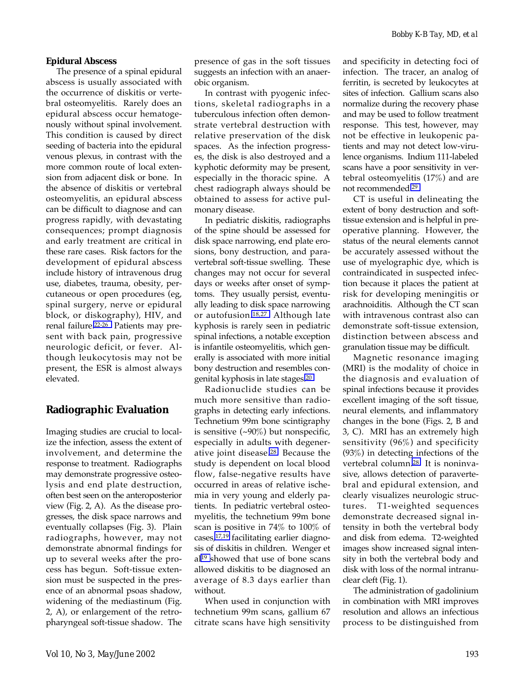#### **Epidural Abscess**

The presence of a spinal epidural abscess is usually associated with the occurrence of diskitis or vertebral osteomyelitis. Rarely does an epidural abscess occur hematogenously without spinal involvement. This condition is caused by direct seeding of bacteria into the epidural venous plexus, in contrast with the more common route of local extension from adjacent disk or bone. In the absence of diskitis or vertebral osteomyelitis, an epidural abscess can be difficult to diagnose and can progress rapidly, with devastating consequences; prompt diagnosis and early treatment are critical in these rare cases. Risk factors for the development of epidural abscess include history of intravenous drug use, diabetes, trauma, obesity, percutaneous or open procedures (eg, spinal surgery, nerve or epidural block, or diskography), HIV, and renal failure[.22-26](#page-9-0) Patients may present with back pain, progressive neurologic deficit, or fever. Although leukocytosis may not be present, the ESR is almost always elevated.

# **Radiographic Evaluation**

Imaging studies are crucial to localize the infection, assess the extent of involvement, and determine the response to treatment. Radiographs may demonstrate progressive osteolysis and end plate destruction, often best seen on the anteroposterior view (Fig. 2, A). As the disease progresses, the disk space narrows and eventually collapses (Fig. 3). Plain radiographs, however, may not demonstrate abnormal findings for up to several weeks after the process has begun. Soft-tissue extension must be suspected in the presence of an abnormal psoas shadow, widening of the mediastinum (Fig. 2, A), or enlargement of the retropharyngeal soft-tissue shadow. The presence of gas in the soft tissues suggests an infection with an anaerobic organism.

In contrast with pyogenic infections, skeletal radiographs in a tuberculous infection often demonstrate vertebral destruction with relative preservation of the disk spaces. As the infection progresses, the disk is also destroyed and a kyphotic deformity may be present, especially in the thoracic spine. A chest radiograph always should be obtained to assess for active pulmonary disease.

In pediatric diskitis, radiographs of the spine should be assessed for disk space narrowing, end plate erosions, bony destruction, and paravertebral soft-tissue swelling. These changes may not occur for several days or weeks after onset of symptoms. They usually persist, eventually leading to disk space narrowing or autofusion[.18,27](#page-9-0) Although late kyphosis is rarely seen in pediatric spinal infections, a notable exception is infantile osteomyelitis, which generally is associated with more initial bony destruction and resembles congenital kyphosis in late stages[.20](#page-9-0)

Radionuclide studies can be much more sensitive than radiographs in detecting early infections. Technetium 99m bone scintigraphy is sensitive  $(-90\%)$  but nonspecific, especially in adults with degenerative joint disease[.28](#page-9-0) Because the study is dependent on local blood flow, false-negative results have occurred in areas of relative ischemia in very young and elderly patients. In pediatric vertebral osteomyelitis, the technetium 99m bone scan is positive in 74% to 100% of cases[,17,19](#page-9-0) facilitating earlier diagnosis of diskitis in children. Wenger et al[19](#page-9-0) showed that use of bone scans allowed diskitis to be diagnosed an average of 8.3 days earlier than without.

When used in conjunction with technetium 99m scans, gallium 67 citrate scans have high sensitivity and specificity in detecting foci of infection. The tracer, an analog of ferritin, is secreted by leukocytes at sites of infection. Gallium scans also normalize during the recovery phase and may be used to follow treatment response. This test, however, may not be effective in leukopenic patients and may not detect low-virulence organisms. Indium 111-labeled scans have a poor sensitivity in vertebral osteomyelitis (17%) and are not recommended[.29](#page-9-0)

CT is useful in delineating the extent of bony destruction and softtissue extension and is helpful in preoperative planning. However, the status of the neural elements cannot be accurately assessed without the use of myelographic dye, which is contraindicated in suspected infection because it places the patient at risk for developing meningitis or arachnoiditis. Although the CT scan with intravenous contrast also can demonstrate soft-tissue extension, distinction between abscess and granulation tissue may be difficult.

Magnetic resonance imaging (MRI) is the modality of choice in the diagnosis and evaluation of spinal infections because it provides excellent imaging of the soft tissue, neural elements, and inflammatory changes in the bone (Figs. 2, B and 3, C). MRI has an extremely high sensitivity (96%) and specificity (93%) in detecting infections of the vertebral column[.28](#page-9-0) It is noninvasive, allows detection of paravertebral and epidural extension, and clearly visualizes neurologic structures. T1-weighted sequences demonstrate decreased signal intensity in both the vertebral body and disk from edema. T2-weighted images show increased signal intensity in both the vertebral body and disk with loss of the normal intranuclear cleft (Fig. 1).

The administration of gadolinium in combination with MRI improves resolution and allows an infectious process to be distinguished from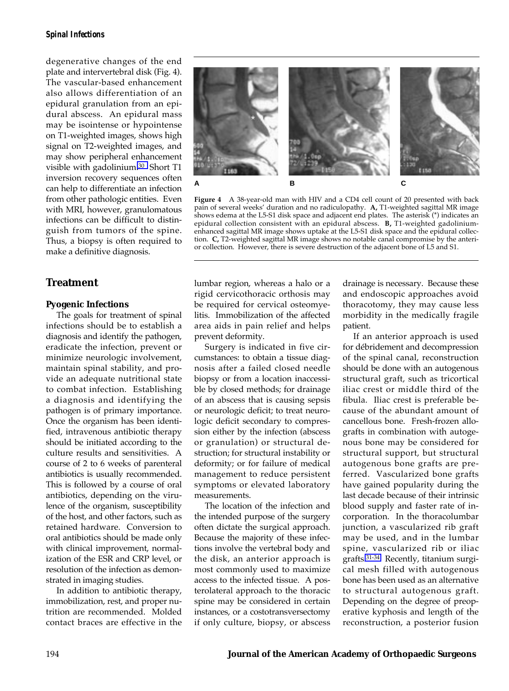degenerative changes of the end plate and intervertebral disk (Fig. 4). The vascular-based enhancement also allows differentiation of an epidural granulation from an epidural abscess. An epidural mass may be isointense or hypointense on T1-weighted images, shows high signal on T2-weighted images, and may show peripheral enhancement visible with gadolinium[.30](#page-9-0) Short T1 inversion recovery sequences often can help to differentiate an infection from other pathologic entities. Even with MRI, however, granulomatous infections can be difficult to distinguish from tumors of the spine. Thus, a biopsy is often required to make a definitive diagnosis.

## **Treatment**

#### **Pyogenic Infections**

The goals for treatment of spinal infections should be to establish a diagnosis and identify the pathogen, eradicate the infection, prevent or minimize neurologic involvement, maintain spinal stability, and provide an adequate nutritional state to combat infection. Establishing a diagnosis and identifying the pathogen is of primary importance. Once the organism has been identified, intravenous antibiotic therapy should be initiated according to the culture results and sensitivities. A course of 2 to 6 weeks of parenteral antibiotics is usually recommended. This is followed by a course of oral antibiotics, depending on the virulence of the organism, susceptibility of the host, and other factors, such as retained hardware. Conversion to oral antibiotics should be made only with clinical improvement, normalization of the ESR and CRP level, or resolution of the infection as demonstrated in imaging studies.

In addition to antibiotic therapy, immobilization, rest, and proper nutrition are recommended. Molded contact braces are effective in the



**Figure 4** A 38-year-old man with HIV and a CD4 cell count of 20 presented with back pain of several weeks' duration and no radiculopathy. A, T1-weighted sagittal MR image shows edema at the L5-S1 disk space and adjacent end plates. The asterisk (\*) indicates an epidural collection consistent with an epidural abscess. **B,** T1-weighted gadoliniumenhanced sagittal MR image shows uptake at the L5-S1 disk space and the epidural collection. **C,** T2-weighted sagittal MR image shows no notable canal compromise by the anterior collection. However, there is severe destruction of the adjacent bone of L5 and S1.

lumbar region, whereas a halo or a rigid cervicothoracic orthosis may be required for cervical osteomyelitis. Immobilization of the affected area aids in pain relief and helps prevent deformity.

Surgery is indicated in five circumstances: to obtain a tissue diagnosis after a failed closed needle biopsy or from a location inaccessible by closed methods; for drainage of an abscess that is causing sepsis or neurologic deficit; to treat neurologic deficit secondary to compression either by the infection (abscess or granulation) or structural destruction; for structural instability or deformity; or for failure of medical management to reduce persistent symptoms or elevated laboratory measurements.

The location of the infection and the intended purpose of the surgery often dictate the surgical approach. Because the majority of these infections involve the vertebral body and the disk, an anterior approach is most commonly used to maximize access to the infected tissue. A posterolateral approach to the thoracic spine may be considered in certain instances, or a costotransversectomy if only culture, biopsy, or abscess

drainage is necessary. Because these and endoscopic approaches avoid thoracotomy, they may cause less morbidity in the medically fragile patient.

If an anterior approach is used for dÈbridement and decompression of the spinal canal, reconstruction should be done with an autogenous structural graft, such as tricortical iliac crest or middle third of the fibula. Iliac crest is preferable because of the abundant amount of cancellous bone. Fresh-frozen allografts in combination with autogenous bone may be considered for structural support, but structural autogenous bone grafts are preferred. Vascularized bone grafts have gained popularity during the last decade because of their intrinsic blood supply and faster rate of incorporation. In the thoracolumbar junction, a vascularized rib graft may be used, and in the lumbar spine, vascularized rib or iliac grafts[.31-34](#page-9-0) Recently, titanium surgical mesh filled with autogenous bone has been used as an alternative to structural autogenous graft. Depending on the degree of preoperative kyphosis and length of the reconstruction, a posterior fusion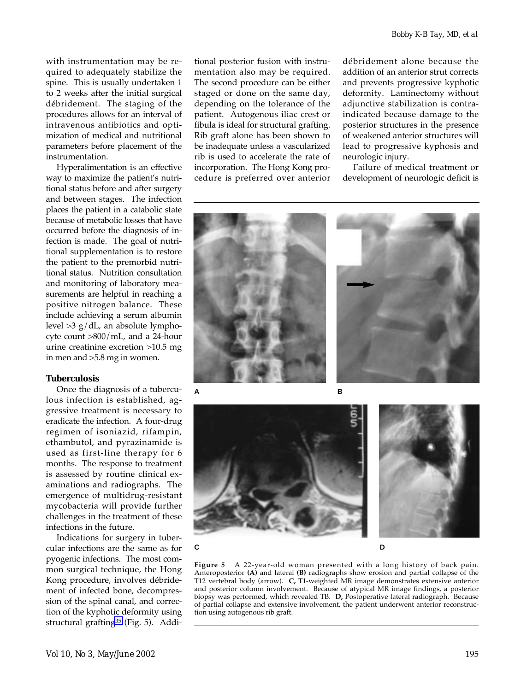with instrumentation may be required to adequately stabilize the spine. This is usually undertaken 1 to 2 weeks after the initial surgical débridement. The staging of the procedures allows for an interval of intravenous antibiotics and optimization of medical and nutritional parameters before placement of the instrumentation.

Hyperalimentation is an effective way to maximize the patient's nutritional status before and after surgery and between stages. The infection places the patient in a catabolic state because of metabolic losses that have occurred before the diagnosis of infection is made. The goal of nutritional supplementation is to restore the patient to the premorbid nutritional status. Nutrition consultation and monitoring of laboratory measurements are helpful in reaching a positive nitrogen balance. These include achieving a serum albumin level  $>3$  g/dL, an absolute lymphocyte count >800/mL, and a 24-hour urine creatinine excretion >10.5 mg in men and >5.8 mg in women.

#### **Tuberculosis**

Once the diagnosis of a tuberculous infection is established, aggressive treatment is necessary to eradicate the infection. A four-drug regimen of isoniazid, rifampin, ethambutol, and pyrazinamide is used as first-line therapy for 6 months. The response to treatment is assessed by routine clinical examinations and radiographs. The emergence of multidrug-resistant mycobacteria will provide further challenges in the treatment of these infections in the future.

Indications for surgery in tubercular infections are the same as for pyogenic infections. The most common surgical technique, the Hong Kong procedure, involves débridement of infected bone, decompression of the spinal canal, and correction of the kyphotic deformity using structural grafting<sup>35</sup> (Fig. 5). Addi-

tional posterior fusion with instrumentation also may be required. The second procedure can be either staged or done on the same day, depending on the tolerance of the patient. Autogenous iliac crest or fibula is ideal for structural grafting. Rib graft alone has been shown to be inadequate unless a vascularized rib is used to accelerate the rate of incorporation. The Hong Kong procedure is preferred over anterior débridement alone because the addition of an anterior strut corrects and prevents progressive kyphotic deformity. Laminectomy without adjunctive stabilization is contraindicated because damage to the posterior structures in the presence of weakened anterior structures will lead to progressive kyphosis and neurologic injury.

Failure of medical treatment or development of neurologic deficit is





**Figure 5** A 22-year-old woman presented with a long history of back pain. Anteroposterior **(A)** and lateral **(B)** radiographs show erosion and partial collapse of the T12 vertebral body (arrow). **C,** T1-weighted MR image demonstrates extensive anterior and posterior column involvement. Because of atypical MR image findings, a posterior biopsy was performed, which revealed TB. **D,** Postoperative lateral radiograph. Because of partial collapse and extensive involvement, the patient underwent anterior reconstruction using autogenous rib graft.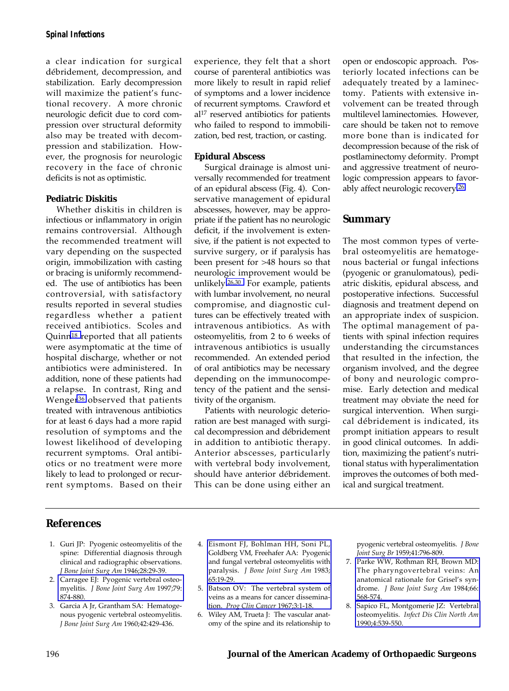<span id="page-8-0"></span>a clear indication for surgical débridement, decompression, and stabilization. Early decompression will maximize the patient's functional recovery. A more chronic neurologic deficit due to cord compression over structural deformity also may be treated with decompression and stabilization. However, the prognosis for neurologic recovery in the face of chronic deficits is not as optimistic.

#### **Pediatric Diskitis**

Whether diskitis in children is infectious or inflammatory in origin remains controversial. Although the recommended treatment will vary depending on the suspected origin, immobilization with casting or bracing is uniformly recommended. The use of antibiotics has been controversial, with satisfactory results reported in several studies regardless whether a patient received antibiotics. Scoles and Quin[n18](#page-9-0) reported that all patients were asymptomatic at the time of hospital discharge, whether or not antibiotics were administered. In addition, none of these patients had a relapse. In contrast, Ring and Wenge[r36](#page-9-0) observed that patients treated with intravenous antibiotics for at least 6 days had a more rapid resolution of symptoms and the lowest likelihood of developing recurrent symptoms. Oral antibiotics or no treatment were more likely to lead to prolonged or recurrent symptoms. Based on their experience, they felt that a short course of parenteral antibiotics was more likely to result in rapid relief of symptoms and a lower incidence of recurrent symptoms. Crawford et al17 reserved antibiotics for patients who failed to respond to immobilization, bed rest, traction, or casting.

#### **Epidural Abscess**

Surgical drainage is almost universally recommended for treatment of an epidural abscess (Fig. 4). Conservative management of epidural abscesses, however, may be appropriate if the patient has no neurologic deficit, if the involvement is extensive, if the patient is not expected to survive surgery, or if paralysis has been present for >48 hours so that neurologic improvement would be unlikely[.26,30](#page-9-0) For example, patients with lumbar involvement, no neural compromise, and diagnostic cultures can be effectively treated with intravenous antibiotics. As with osteomyelitis, from 2 to 6 weeks of intravenous antibiotics is usually recommended. An extended period of oral antibiotics may be necessary depending on the immunocompetency of the patient and the sensitivity of the organism.

Patients with neurologic deterioration are best managed with surgical decompression and débridement in addition to antibiotic therapy. Anterior abscesses, particularly with vertebral body involvement, should have anterior débridement. This can be done using either an

open or endoscopic approach. Posteriorly located infections can be adequately treated by a laminectomy. Patients with extensive involvement can be treated through multilevel laminectomies. However, care should be taken not to remove more bone than is indicated for decompression because of the risk of postlaminectomy deformity. Prompt and aggressive treatment of neurologic compression appears to favorably affect neurologic recovery[.26](#page-9-0)

# **Summary**

The most common types of vertebral osteomyelitis are hematogenous bacterial or fungal infections (pyogenic or granulomatous), pediatric diskitis, epidural abscess, and postoperative infections. Successful diagnosis and treatment depend on an appropriate index of suspicion. The optimal management of patients with spinal infection requires understanding the circumstances that resulted in the infection, the organism involved, and the degree of bony and neurologic compromise. Early detection and medical treatment may obviate the need for surgical intervention. When surgical débridement is indicated, its prompt initiation appears to result in good clinical outcomes. In addition, maximizing the patient's nutritional status with hyperalimentation improves the outcomes of both medical and surgical treatment.

# **References**

- 1. Guri JP: Pyogenic osteomyelitis of the spine: Differential diagnosis through clinical and radiographic observations. *J Bone Joint Surg Am* 1946;28:29-39.
- 2. [Carragee EJ: Pyogenic vertebral osteo](http://www.ncbi.nlm.nih.gov/cgi-bin/Entrez/referer?/htbin-post/Entrez/query%3fdb=m&form=6&uid=9199385&Dopt=r)myelitis. *J Bone Joint Surg Am* 1997;79: 874-880.
- 3. Garcia A Jr, Grantham SA: Hematogenous pyogenic vertebral osteomyelitis. *J Bone Joint Surg Am* 1960;42:429-436.
- 4. [Eismont FJ, Bohlman HH, Soni PL,](http://www.ncbi.nlm.nih.gov/cgi-bin/Entrez/referer?/htbin-post/Entrez/query%3fdb=m&form=6&uid=6849675&Dopt=r) Goldberg VM, Freehafer AA: Pyogenic and fungal vertebral osteomyelitis with paralysis. *J Bone Joint Surg Am* 1983; 65:19-29.
- 5. [Batson OV: The vertebral system of](http://www.ncbi.nlm.nih.gov/cgi-bin/Entrez/referer?/htbin-post/Entrez/query%3fdb=m&form=6&uid=4966304&Dopt=r) veins as a means for cancer dissemination. *Prog Clin Cancer* 1967;3:1-18.
- 6. Wiley AM, Trueta J: The vascular anatomy of the spine and its relationship to

pyogenic vertebral osteomyelitis. *J Bone Joint Surg Br* 1959;41:796-809.

- 7. [Parke WW, Rothman RH, Brown MD:](http://www.ncbi.nlm.nih.gov/cgi-bin/Entrez/referer?/htbin-post/Entrez/query%3fdb=m&form=6&uid=6707036&Dopt=r) The pharyngovertebral veins: An anatomical rationale for Grisel's syndrome. *J Bone Joint Surg Am* 1984;66: 568-574.
- 8. [Sapico FL, Montgomerie JZ: Vertebral](http://www.ncbi.nlm.nih.gov/cgi-bin/Entrez/referer?/htbin-post/Entrez/query%3fdb=m&form=6&uid=2212605&Dopt=r) osteomyelitis. *Infect Dis Clin North Am* 1990;4:539-550.